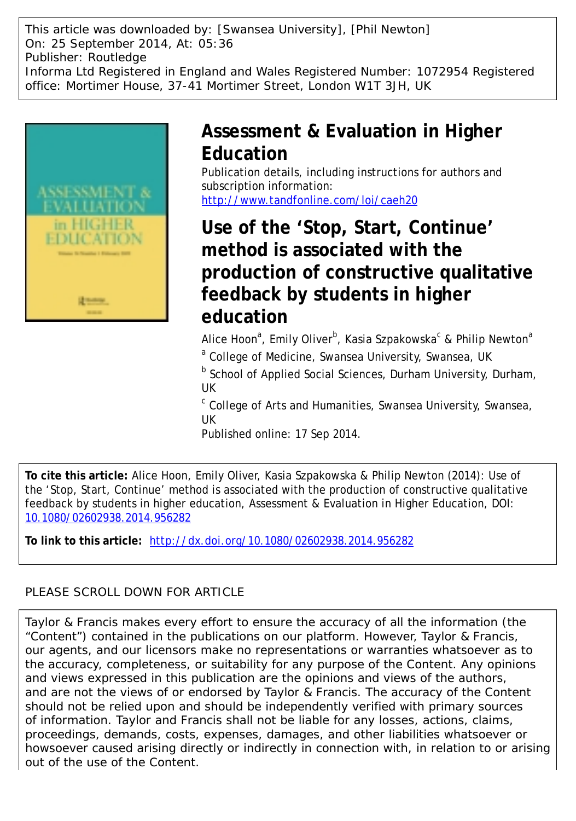This article was downloaded by: [Swansea University], [Phil Newton] On: 25 September 2014, At: 05:36 Publisher: Routledge Informa Ltd Registered in England and Wales Registered Number: 1072954 Registered office: Mortimer House, 37-41 Mortimer Street, London W1T 3JH, UK



## **Assessment & Evaluation in Higher Education**

Publication details, including instructions for authors and subscription information: <http://www.tandfonline.com/loi/caeh20>

# **Use of the 'Stop, Start, Continue' method is associated with the production of constructive qualitative feedback by students in higher education**

Alice Hoon<sup>a</sup>, Emily Oliver<sup>b</sup>, Kasia Szpakowska<sup>c</sup> & Philip Newton<sup>a</sup> <sup>a</sup> College of Medicine, Swansea University, Swansea, UK

<sup>b</sup> School of Applied Social Sciences, Durham University, Durham, UK

<sup>c</sup> College of Arts and Humanities, Swansea University, Swansea, UK

Published online: 17 Sep 2014.

**To cite this article:** Alice Hoon, Emily Oliver, Kasia Szpakowska & Philip Newton (2014): Use of the 'Stop, Start, Continue' method is associated with the production of constructive qualitative feedback by students in higher education, Assessment & Evaluation in Higher Education, DOI: [10.1080/02602938.2014.956282](http://www.tandfonline.com/action/showCitFormats?doi=10.1080/02602938.2014.956282)

**To link to this article:** <http://dx.doi.org/10.1080/02602938.2014.956282>

## PLEASE SCROLL DOWN FOR ARTICLE

Taylor & Francis makes every effort to ensure the accuracy of all the information (the "Content") contained in the publications on our platform. However, Taylor & Francis, our agents, and our licensors make no representations or warranties whatsoever as to the accuracy, completeness, or suitability for any purpose of the Content. Any opinions and views expressed in this publication are the opinions and views of the authors, and are not the views of or endorsed by Taylor & Francis. The accuracy of the Content should not be relied upon and should be independently verified with primary sources of information. Taylor and Francis shall not be liable for any losses, actions, claims, proceedings, demands, costs, expenses, damages, and other liabilities whatsoever or howsoever caused arising directly or indirectly in connection with, in relation to or arising out of the use of the Content.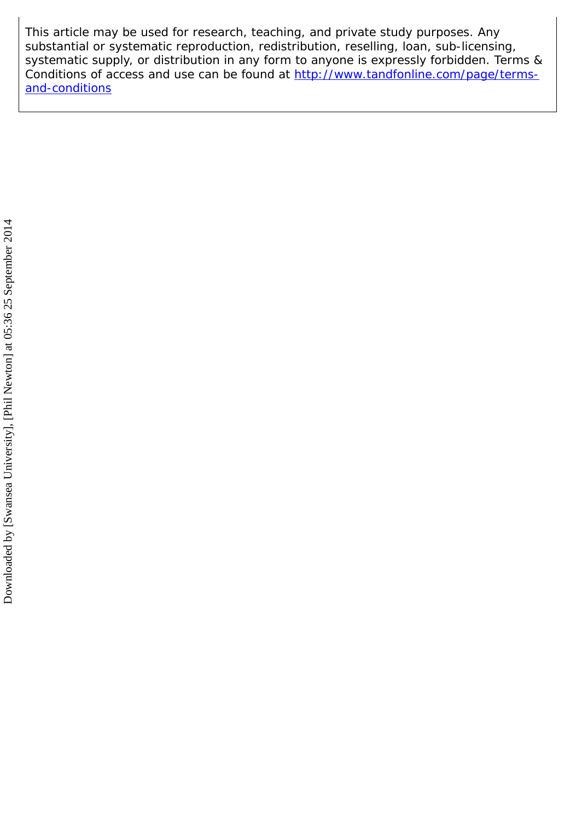This article may be used for research, teaching, and private study purposes. Any substantial or systematic reproduction, redistribution, reselling, loan, sub-licensing, systematic supply, or distribution in any form to anyone is expressly forbidden. Terms & Conditions of access and use can be found at [http://www.tandfonline.com/page/terms](http://www.tandfonline.com/page/terms-and-conditions)[and-conditions](http://www.tandfonline.com/page/terms-and-conditions)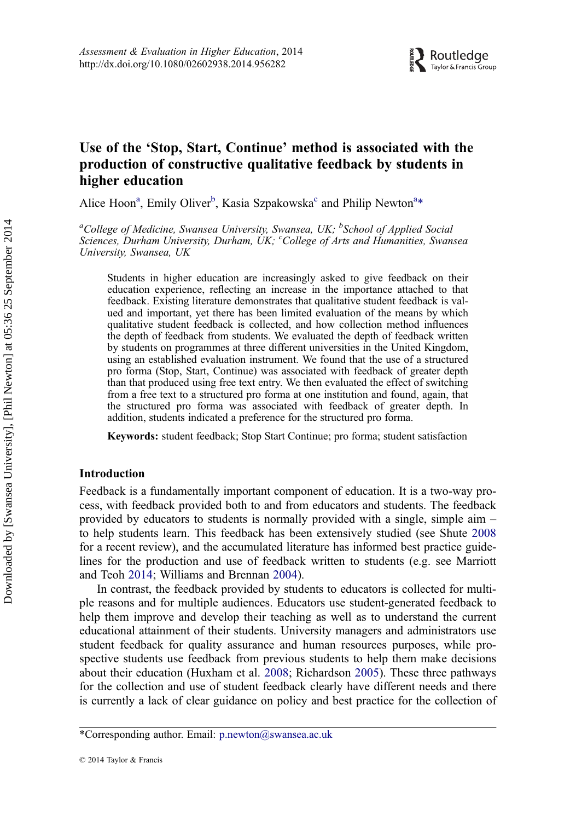### Use of the 'Stop, Start, Continue' method is associated with the production of constructive qualitative feedback by students in higher education

Alice Hoon<sup>a</sup>, Emily Oliver<sup>b</sup>, Kasia Szpakowska<sup>c</sup> and Philip Newton<sup>a\*</sup>

<sup>a</sup>College of Medicine, Swansea University, Swansea, UK; <sup>b</sup>School of Applied Social Sciences, Durham University, Durham, UK; College of Arts and Humanities, Swansea University, Swansea, UK

Students in higher education are increasingly asked to give feedback on their education experience, reflecting an increase in the importance attached to that feedback. Existing literature demonstrates that qualitative student feedback is valued and important, yet there has been limited evaluation of the means by which qualitative student feedback is collected, and how collection method influences the depth of feedback from students. We evaluated the depth of feedback written by students on programmes at three different universities in the United Kingdom, using an established evaluation instrument. We found that the use of a structured pro forma (Stop, Start, Continue) was associated with feedback of greater depth than that produced using free text entry. We then evaluated the effect of switching from a free text to a structured pro forma at one institution and found, again, that the structured pro forma was associated with feedback of greater depth. In addition, students indicated a preference for the structured pro forma.

Keywords: student feedback; Stop Start Continue; pro forma; student satisfaction

#### Introduction

Feedback is a fundamentally important component of education. It is a two-way process, with feedback provided both to and from educators and students. The feedback provided by educators to students is normally provided with a single, simple aim – to help students learn. This feedback has been extensively studied (see Shute [2008](#page-14-0) for a recent review), and the accumulated literature has informed best practice guidelines for the production and use of feedback written to students (e.g. see Marriott and Teoh [2014;](#page-13-0) Williams and Brennan [2004\)](#page-14-0).

In contrast, the feedback provided by students to educators is collected for multiple reasons and for multiple audiences. Educators use student-generated feedback to help them improve and develop their teaching as well as to understand the current educational attainment of their students. University managers and administrators use student feedback for quality assurance and human resources purposes, while prospective students use feedback from previous students to help them make decisions about their education (Huxham et al. [2008](#page-13-0); Richardson [2005\)](#page-13-0). These three pathways for the collection and use of student feedback clearly have different needs and there is currently a lack of clear guidance on policy and best practice for the collection of

<sup>\*</sup>Corresponding author. Email: [p.newton@swansea.ac.uk](mailto:p.newton@swansea.ac.uk)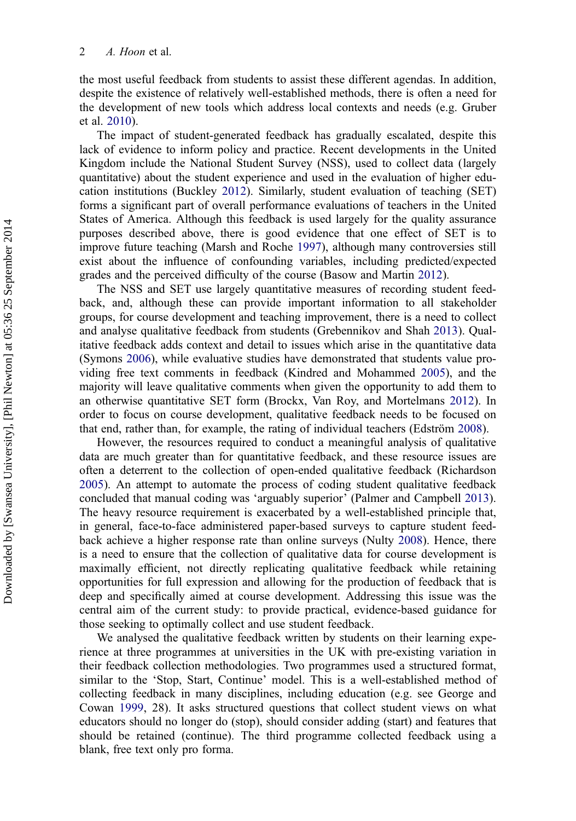the most useful feedback from students to assist these different agendas. In addition, despite the existence of relatively well-established methods, there is often a need for the development of new tools which address local contexts and needs (e.g. Gruber et al. [2010\)](#page-13-0).

The impact of student-generated feedback has gradually escalated, despite this lack of evidence to inform policy and practice. Recent developments in the United Kingdom include the National Student Survey (NSS), used to collect data (largely quantitative) about the student experience and used in the evaluation of higher education institutions (Buckley [2012](#page-13-0)). Similarly, student evaluation of teaching (SET) forms a significant part of overall performance evaluations of teachers in the United States of America. Although this feedback is used largely for the quality assurance purposes described above, there is good evidence that one effect of SET is to improve future teaching (Marsh and Roche [1997](#page-13-0)), although many controversies still exist about the influence of confounding variables, including predicted/expected grades and the perceived difficulty of the course (Basow and Martin [2012](#page-13-0)).

The NSS and SET use largely quantitative measures of recording student feedback, and, although these can provide important information to all stakeholder groups, for course development and teaching improvement, there is a need to collect and analyse qualitative feedback from students (Grebennikov and Shah [2013](#page-13-0)). Qualitative feedback adds context and detail to issues which arise in the quantitative data (Symons [2006](#page-14-0)), while evaluative studies have demonstrated that students value providing free text comments in feedback (Kindred and Mohammed [2005\)](#page-13-0), and the majority will leave qualitative comments when given the opportunity to add them to an otherwise quantitative SET form (Brockx, Van Roy, and Mortelmans [2012](#page-13-0)). In order to focus on course development, qualitative feedback needs to be focused on that end, rather than, for example, the rating of individual teachers (Edström [2008](#page-13-0)).

However, the resources required to conduct a meaningful analysis of qualitative data are much greater than for quantitative feedback, and these resource issues are often a deterrent to the collection of open-ended qualitative feedback (Richardson [2005\)](#page-13-0). An attempt to automate the process of coding student qualitative feedback concluded that manual coding was 'arguably superior' (Palmer and Campbell [2013](#page-13-0)). The heavy resource requirement is exacerbated by a well-established principle that, in general, face-to-face administered paper-based surveys to capture student feedback achieve a higher response rate than online surveys (Nulty [2008](#page-13-0)). Hence, there is a need to ensure that the collection of qualitative data for course development is maximally efficient, not directly replicating qualitative feedback while retaining opportunities for full expression and allowing for the production of feedback that is deep and specifically aimed at course development. Addressing this issue was the central aim of the current study: to provide practical, evidence-based guidance for those seeking to optimally collect and use student feedback.

We analysed the qualitative feedback written by students on their learning experience at three programmes at universities in the UK with pre-existing variation in their feedback collection methodologies. Two programmes used a structured format, similar to the 'Stop, Start, Continue' model. This is a well-established method of collecting feedback in many disciplines, including education (e.g. see George and Cowan [1999](#page-13-0), 28). It asks structured questions that collect student views on what educators should no longer do (stop), should consider adding (start) and features that should be retained (continue). The third programme collected feedback using a blank, free text only pro forma.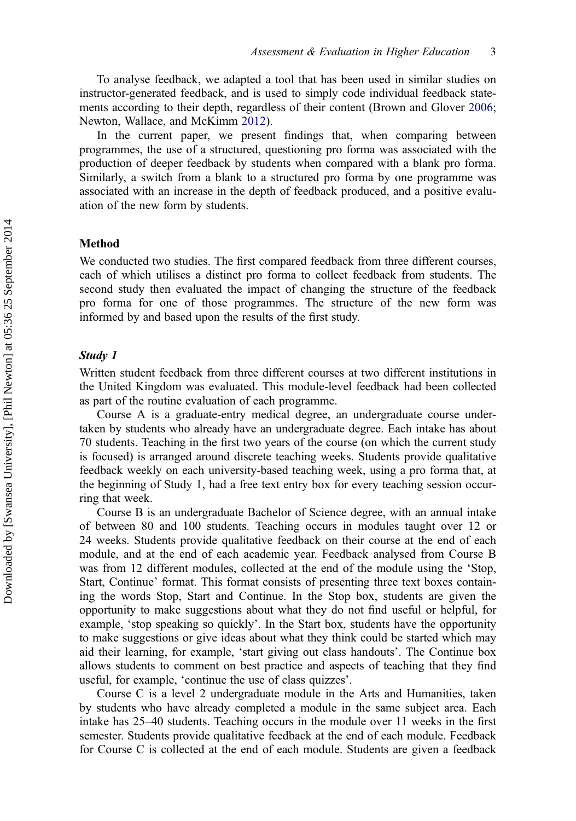To analyse feedback, we adapted a tool that has been used in similar studies on instructor-generated feedback, and is used to simply code individual feedback statements according to their depth, regardless of their content (Brown and Glover [2006](#page-13-0); Newton, Wallace, and McKimm [2012\)](#page-13-0).

In the current paper, we present findings that, when comparing between programmes, the use of a structured, questioning pro forma was associated with the production of deeper feedback by students when compared with a blank pro forma. Similarly, a switch from a blank to a structured pro forma by one programme was associated with an increase in the depth of feedback produced, and a positive evaluation of the new form by students.

#### Method

We conducted two studies. The first compared feedback from three different courses, each of which utilises a distinct pro forma to collect feedback from students. The second study then evaluated the impact of changing the structure of the feedback pro forma for one of those programmes. The structure of the new form was informed by and based upon the results of the first study.

#### Study 1

Written student feedback from three different courses at two different institutions in the United Kingdom was evaluated. This module-level feedback had been collected as part of the routine evaluation of each programme.

Course A is a graduate-entry medical degree, an undergraduate course undertaken by students who already have an undergraduate degree. Each intake has about 70 students. Teaching in the first two years of the course (on which the current study is focused) is arranged around discrete teaching weeks. Students provide qualitative feedback weekly on each university-based teaching week, using a pro forma that, at the beginning of Study 1, had a free text entry box for every teaching session occurring that week.

Course B is an undergraduate Bachelor of Science degree, with an annual intake of between 80 and 100 students. Teaching occurs in modules taught over 12 or 24 weeks. Students provide qualitative feedback on their course at the end of each module, and at the end of each academic year. Feedback analysed from Course B was from 12 different modules, collected at the end of the module using the 'Stop, Start, Continue' format. This format consists of presenting three text boxes containing the words Stop, Start and Continue. In the Stop box, students are given the opportunity to make suggestions about what they do not find useful or helpful, for example, 'stop speaking so quickly'. In the Start box, students have the opportunity to make suggestions or give ideas about what they think could be started which may aid their learning, for example, 'start giving out class handouts'. The Continue box allows students to comment on best practice and aspects of teaching that they find useful, for example, 'continue the use of class quizzes'.

Course C is a level 2 undergraduate module in the Arts and Humanities, taken by students who have already completed a module in the same subject area. Each intake has 25–40 students. Teaching occurs in the module over 11 weeks in the first semester. Students provide qualitative feedback at the end of each module. Feedback for Course C is collected at the end of each module. Students are given a feedback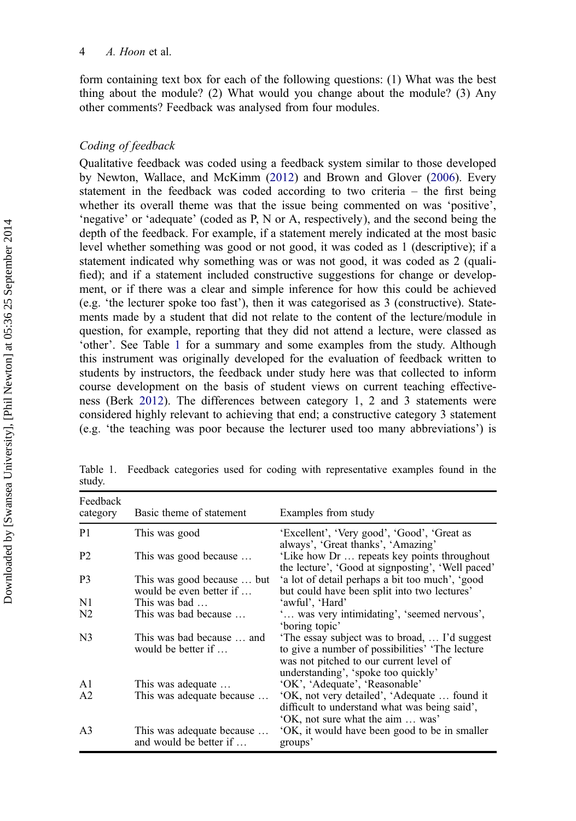form containing text box for each of the following questions: (1) What was the best thing about the module? (2) What would you change about the module? (3) Any other comments? Feedback was analysed from four modules.

#### Coding of feedback

Qualitative feedback was coded using a feedback system similar to those developed by Newton, Wallace, and McKimm [\(2012](#page-13-0)) and Brown and Glover ([2006\)](#page-13-0). Every statement in the feedback was coded according to two criteria – the first being whether its overall theme was that the issue being commented on was 'positive', 'negative' or 'adequate' (coded as P, N or A, respectively), and the second being the depth of the feedback. For example, if a statement merely indicated at the most basic level whether something was good or not good, it was coded as 1 (descriptive); if a statement indicated why something was or was not good, it was coded as 2 (qualified); and if a statement included constructive suggestions for change or development, or if there was a clear and simple inference for how this could be achieved (e.g. 'the lecturer spoke too fast'), then it was categorised as 3 (constructive). Statements made by a student that did not relate to the content of the lecture/module in question, for example, reporting that they did not attend a lecture, were classed as 'other'. See Table 1 for a summary and some examples from the study. Although this instrument was originally developed for the evaluation of feedback written to students by instructors, the feedback under study here was that collected to inform course development on the basis of student views on current teaching effectiveness (Berk [2012](#page-13-0)). The differences between category 1, 2 and 3 statements were considered highly relevant to achieving that end; a constructive category 3 statement (e.g. 'the teaching was poor because the lecturer used too many abbreviations') is

| Feedback<br>category | Basic theme of statement                              | Examples from study                                                                                                                                                                 |
|----------------------|-------------------------------------------------------|-------------------------------------------------------------------------------------------------------------------------------------------------------------------------------------|
| P1                   | This was good                                         | 'Excellent', 'Very good', 'Good', 'Great as<br>always', 'Great thanks', 'Amazing'                                                                                                   |
| P2                   | This was good because                                 | 'Like how Dr  repeats key points throughout<br>the lecture', 'Good at signposting', 'Well paced'                                                                                    |
| P3                   | This was good because  but<br>would be even better if | 'a lot of detail perhaps a bit too much', 'good<br>but could have been split into two lectures'                                                                                     |
| N1                   | This was bad                                          | 'awful', 'Hard'                                                                                                                                                                     |
| N2                   | This was bad because                                  | was very intimidating', 'seemed nervous',<br>'boring topic'                                                                                                                         |
| N3                   | This was bad because  and<br>would be better if       | 'The essay subject was to broad,  I'd suggest<br>to give a number of possibilities' 'The lecture'<br>was not pitched to our current level of<br>understanding', 'spoke too quickly' |
| A1                   | This was adequate                                     | 'OK', 'Adequate', 'Reasonable'                                                                                                                                                      |
| A <sub>2</sub>       | This was adequate because                             | 'OK, not very detailed', 'Adequate  found it<br>difficult to understand what was being said',<br>'OK, not sure what the aim  was'                                                   |
| A3                   | This was adequate because<br>and would be better if   | 'OK, it would have been good to be in smaller<br>groups'                                                                                                                            |

Table 1. Feedback categories used for coding with representative examples found in the study.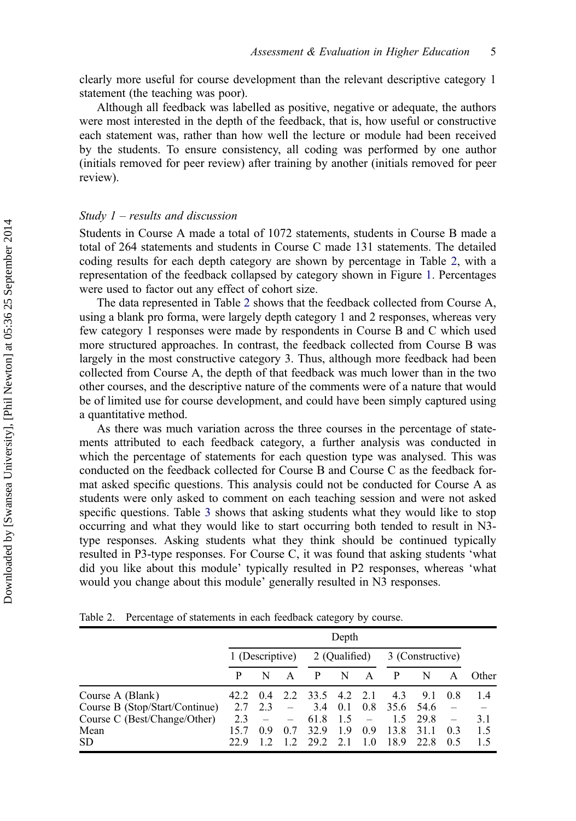clearly more useful for course development than the relevant descriptive category 1 statement (the teaching was poor).

Although all feedback was labelled as positive, negative or adequate, the authors were most interested in the depth of the feedback, that is, how useful or constructive each statement was, rather than how well the lecture or module had been received by the students. To ensure consistency, all coding was performed by one author (initials removed for peer review) after training by another (initials removed for peer review).

#### Study  $1$  – results and discussion

Students in Course A made a total of 1072 statements, students in Course B made a total of 264 statements and students in Course C made 131 statements. The detailed coding results for each depth category are shown by percentage in Table 2, with a representation of the feedback collapsed by category shown in Figure [1](#page-7-0). Percentages were used to factor out any effect of cohort size.

The data represented in Table 2 shows that the feedback collected from Course A, using a blank pro forma, were largely depth category 1 and 2 responses, whereas very few category 1 responses were made by respondents in Course B and C which used more structured approaches. In contrast, the feedback collected from Course B was largely in the most constructive category 3. Thus, although more feedback had been collected from Course A, the depth of that feedback was much lower than in the two other courses, and the descriptive nature of the comments were of a nature that would be of limited use for course development, and could have been simply captured using a quantitative method.

As there was much variation across the three courses in the percentage of statements attributed to each feedback category, a further analysis was conducted in which the percentage of statements for each question type was analysed. This was conducted on the feedback collected for Course B and Course C as the feedback format asked specific questions. This analysis could not be conducted for Course A as students were only asked to comment on each teaching session and were not asked specific questions. Table [3](#page-7-0) shows that asking students what they would like to stop occurring and what they would like to start occurring both tended to result in N3 type responses. Asking students what they think should be continued typically resulted in P3-type responses. For Course C, it was found that asking students 'what did you like about this module' typically resulted in P2 responses, whereas 'what would you change about this module' generally resulted in N3 responses.

|  | Table 2. Percentage of statements in each feedback category by course. |  |  |  |  |  |  |
|--|------------------------------------------------------------------------|--|--|--|--|--|--|
|--|------------------------------------------------------------------------|--|--|--|--|--|--|

|                                | Depth |                 |     |               |     |     |                  |      |     |       |
|--------------------------------|-------|-----------------|-----|---------------|-----|-----|------------------|------|-----|-------|
|                                |       | 1 (Descriptive) |     | 2 (Qualified) |     |     | 3 (Constructive) |      |     |       |
|                                | P     | N               |     |               | N   | A   | P                | N    |     | Other |
| Course A (Blank)               | 42.2  | 0.4             |     | 2.2 33.5 4.2  |     | 2.1 | 4.3              | 9.1  | 0.8 | 1.4   |
| Course B (Stop/Start/Continue) | 2.7   | 2.3             |     | 3.4           | 0.1 | 0.8 | 35.6             | 54.6 |     |       |
| Course C (Best/Change/Other)   | 2.3   |                 |     | 61.8          | 1.5 |     | 1.5              | 29.8 |     | 3.1   |
| Mean                           |       | 09              | 0.7 | 32.9          | 1.9 | 0.9 | 13.8             | 31.1 | 0.3 | 1.5   |
| <b>SD</b>                      | 22.9  |                 | 12  | 29.2          | 2.1 | 1.0 | 18.9             | 22.8 | 0.5 |       |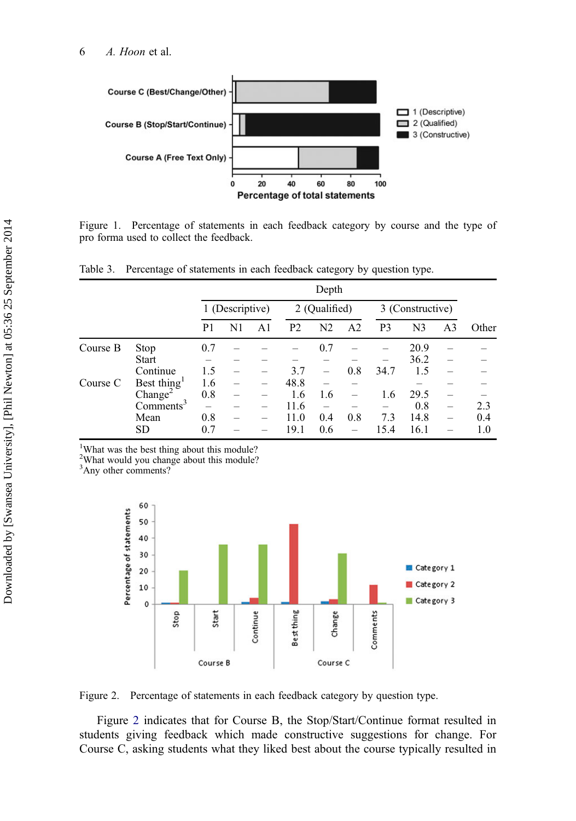<span id="page-7-0"></span>6 A. Hoon et al.



Figure 1. Percentage of statements in each feedback category by course and the type of pro forma used to collect the feedback.

Table 3. Percentage of statements in each feedback category by question type.

|          |                         | Depth           |    |    |                |                          |                |                  |                |                          |       |
|----------|-------------------------|-----------------|----|----|----------------|--------------------------|----------------|------------------|----------------|--------------------------|-------|
|          |                         | 1 (Descriptive) |    |    | 2 (Qualified)  |                          |                | 3 (Constructive) |                |                          |       |
|          |                         | P1              | N1 | A1 | P <sub>2</sub> | N <sub>2</sub>           | A <sub>2</sub> | P <sub>3</sub>   | N <sub>3</sub> | A <sub>3</sub>           | Other |
| Course B | Stop                    | 0.7             |    |    |                | 0.7                      |                |                  | 20.9           |                          |       |
|          | <b>Start</b>            |                 |    |    |                |                          |                |                  | 36.2           |                          |       |
|          | Continue                | 1.5             |    |    | 3.7            | $\overline{\phantom{0}}$ | 0.8            | 34.7             | 1.5            |                          |       |
| Course C | Best thing <sup>1</sup> | 1.6             |    |    | 48.8           |                          |                |                  |                |                          |       |
|          | Change <sup>2</sup>     | 0.8             | -  |    | 1.6            | 1.6                      |                | 1.6              | 29.5           |                          |       |
|          | Comments <sup>3</sup>   |                 |    |    | 11.6           |                          |                |                  | 0.8            | -                        | 2.3   |
|          | Mean                    | 0.8             |    |    | 11.0           | 0.4                      | 0.8            | 7.3              | 14.8           | $\overline{\phantom{0}}$ | 0.4   |
|          | <b>SD</b>               | 0.7             |    |    | 19.1           | 0.6                      |                | 15.4             | 16.1           |                          | 1.0   |

1 What was the best thing about this module?

<sup>2</sup>What would you change about this module?

<sup>3</sup>Any other comments?



Figure 2. Percentage of statements in each feedback category by question type.

Figure 2 indicates that for Course B, the Stop/Start/Continue format resulted in students giving feedback which made constructive suggestions for change. For Course C, asking students what they liked best about the course typically resulted in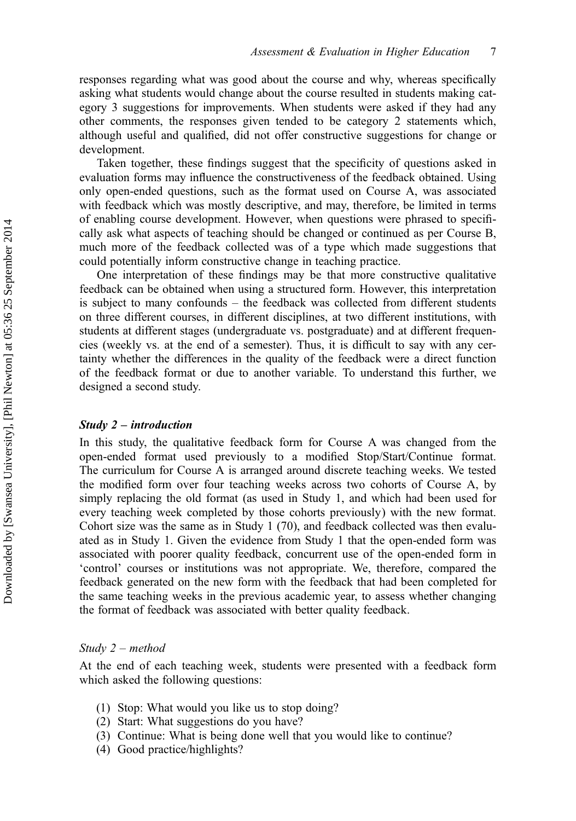responses regarding what was good about the course and why, whereas specifically asking what students would change about the course resulted in students making category 3 suggestions for improvements. When students were asked if they had any other comments, the responses given tended to be category 2 statements which, although useful and qualified, did not offer constructive suggestions for change or development.

Taken together, these findings suggest that the specificity of questions asked in evaluation forms may influence the constructiveness of the feedback obtained. Using only open-ended questions, such as the format used on Course A, was associated with feedback which was mostly descriptive, and may, therefore, be limited in terms of enabling course development. However, when questions were phrased to specifically ask what aspects of teaching should be changed or continued as per Course B, much more of the feedback collected was of a type which made suggestions that could potentially inform constructive change in teaching practice.

One interpretation of these findings may be that more constructive qualitative feedback can be obtained when using a structured form. However, this interpretation is subject to many confounds – the feedback was collected from different students on three different courses, in different disciplines, at two different institutions, with students at different stages (undergraduate vs. postgraduate) and at different frequencies (weekly vs. at the end of a semester). Thus, it is difficult to say with any certainty whether the differences in the quality of the feedback were a direct function of the feedback format or due to another variable. To understand this further, we designed a second study.

#### Study 2 – introduction

In this study, the qualitative feedback form for Course A was changed from the open-ended format used previously to a modified Stop/Start/Continue format. The curriculum for Course A is arranged around discrete teaching weeks. We tested the modified form over four teaching weeks across two cohorts of Course A, by simply replacing the old format (as used in Study 1, and which had been used for every teaching week completed by those cohorts previously) with the new format. Cohort size was the same as in Study 1 (70), and feedback collected was then evaluated as in Study 1. Given the evidence from Study 1 that the open-ended form was associated with poorer quality feedback, concurrent use of the open-ended form in 'control' courses or institutions was not appropriate. We, therefore, compared the feedback generated on the new form with the feedback that had been completed for the same teaching weeks in the previous academic year, to assess whether changing the format of feedback was associated with better quality feedback.

#### Study 2 – method

At the end of each teaching week, students were presented with a feedback form which asked the following questions:

- (1) Stop: What would you like us to stop doing?
- (2) Start: What suggestions do you have?
- (3) Continue: What is being done well that you would like to continue?
- (4) Good practice/highlights?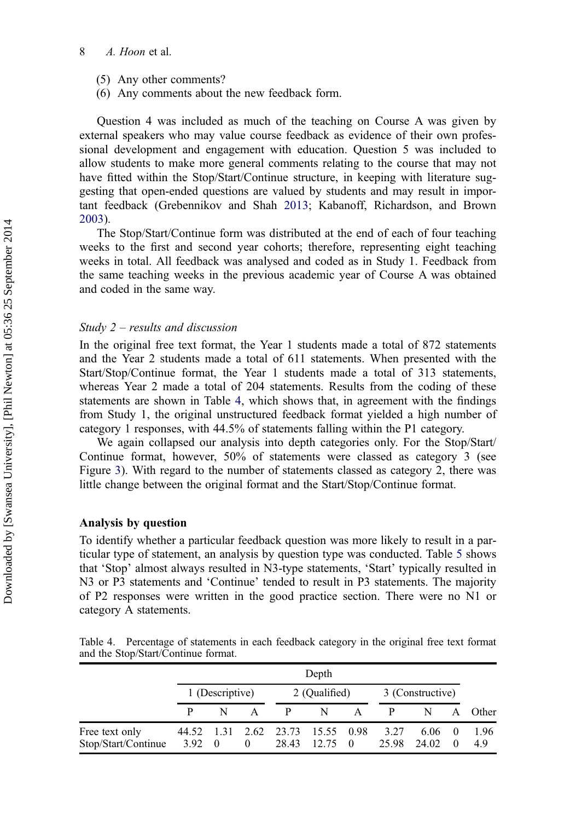#### 8 A. Hoon et al.

- (5) Any other comments?
- (6) Any comments about the new feedback form.

Question 4 was included as much of the teaching on Course A was given by external speakers who may value course feedback as evidence of their own professional development and engagement with education. Question 5 was included to allow students to make more general comments relating to the course that may not have fitted within the Stop/Start/Continue structure, in keeping with literature suggesting that open-ended questions are valued by students and may result in important feedback (Grebennikov and Shah [2013](#page-13-0); Kabanoff, Richardson, and Brown [2003\)](#page-13-0).

The Stop/Start/Continue form was distributed at the end of each of four teaching weeks to the first and second year cohorts; therefore, representing eight teaching weeks in total. All feedback was analysed and coded as in Study 1. Feedback from the same teaching weeks in the previous academic year of Course A was obtained and coded in the same way.

#### Study 2 – results and discussion

In the original free text format, the Year 1 students made a total of 872 statements and the Year 2 students made a total of 611 statements. When presented with the Start/Stop/Continue format, the Year 1 students made a total of 313 statements, whereas Year 2 made a total of 204 statements. Results from the coding of these statements are shown in Table 4, which shows that, in agreement with the findings from Study 1, the original unstructured feedback format yielded a high number of category 1 responses, with 44.5% of statements falling within the P1 category.

We again collapsed our analysis into depth categories only. For the Stop/Start/ Continue format, however, 50% of statements were classed as category 3 (see Figure [3\)](#page-10-0). With regard to the number of statements classed as category 2, there was little change between the original format and the Start/Stop/Continue format.

#### Analysis by question

To identify whether a particular feedback question was more likely to result in a particular type of statement, an analysis by question type was conducted. Table [5](#page-10-0) shows that 'Stop' almost always resulted in N3-type statements, 'Start' typically resulted in N3 or P3 statements and 'Continue' tended to result in P3 statements. The majority of P2 responses were written in the good practice section. There were no N1 or category A statements.

Table 4. Percentage of statements in each feedback category in the original free text format and the Stop/Start/Continue format.

|                                                | Depth           |                |                                                               |               |             |                  |                |          |             |  |
|------------------------------------------------|-----------------|----------------|---------------------------------------------------------------|---------------|-------------|------------------|----------------|----------|-------------|--|
|                                                | 1 (Descriptive) |                |                                                               | 2 (Qualified) |             | 3 (Constructive) |                |          |             |  |
|                                                | N               | $\overline{A}$ | $\mathbf{P}$                                                  | N             | $\mathbf A$ | $\mathbf{P}$     | N              |          | A Other     |  |
| Free text only<br>$Stop/Start/Continue$ 3.92 0 |                 | $\overline{0}$ | 44.52 1.31 2.62 23.73 15.55 0.98<br>28.43 12.75 0 25.98 24.02 |               |             | 3.27             | $6.06 \quad 0$ | $\theta$ | 1.96<br>4.9 |  |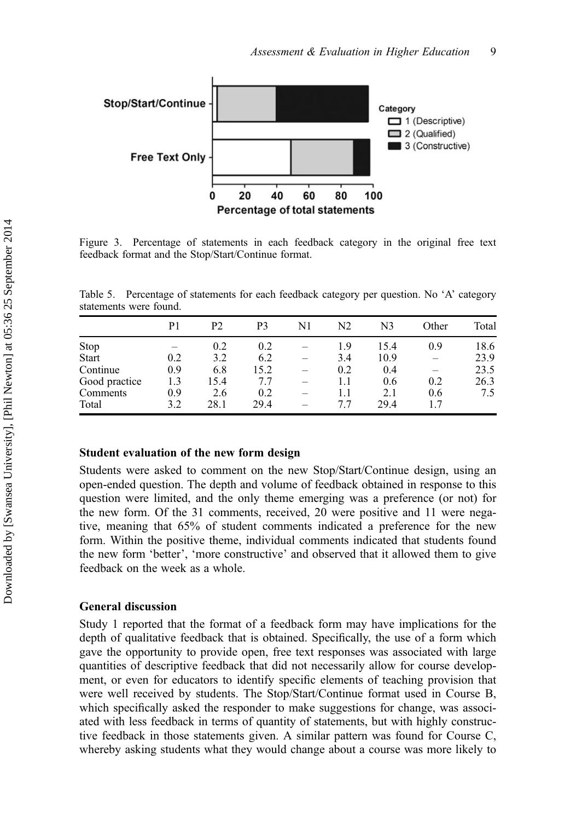<span id="page-10-0"></span>

Figure 3. Percentage of statements in each feedback category in the original free text feedback format and the Stop/Start/Continue format.

Table 5. Percentage of statements for each feedback category per question. No 'A' category statements were found.

|               | P1  | P2   | P3   | N1 | N2  | N3   | Other                    | Total |
|---------------|-----|------|------|----|-----|------|--------------------------|-------|
| Stop          |     | 0.2  | 0.2  | -  | 1.9 | 15.4 | 0.9                      | 18.6  |
| <b>Start</b>  | 0.2 | 3.2  | 6.2  | -  | 3.4 | 10.9 | $\overline{\phantom{a}}$ | 23.9  |
| Continue      | 0.9 | 6.8  | 15.2 | -  | 0.2 | 0.4  | -                        | 23.5  |
| Good practice | 1.3 | 15.4 | 7.7  | -  |     | 0.6  | 0.2                      | 26.3  |
| Comments      | 0.9 | 2.6  | 0.2  | -  |     | 2.1  | 0.6                      | 7.5   |
| Total         | 3.2 | 28.1 | 29.4 |    | 77  | 29.4 | 1.7                      |       |

#### Student evaluation of the new form design

Students were asked to comment on the new Stop/Start/Continue design, using an open-ended question. The depth and volume of feedback obtained in response to this question were limited, and the only theme emerging was a preference (or not) for the new form. Of the 31 comments, received, 20 were positive and 11 were negative, meaning that 65% of student comments indicated a preference for the new form. Within the positive theme, individual comments indicated that students found the new form 'better', 'more constructive' and observed that it allowed them to give feedback on the week as a whole.

#### General discussion

Study 1 reported that the format of a feedback form may have implications for the depth of qualitative feedback that is obtained. Specifically, the use of a form which gave the opportunity to provide open, free text responses was associated with large quantities of descriptive feedback that did not necessarily allow for course development, or even for educators to identify specific elements of teaching provision that were well received by students. The Stop/Start/Continue format used in Course B, which specifically asked the responder to make suggestions for change, was associated with less feedback in terms of quantity of statements, but with highly constructive feedback in those statements given. A similar pattern was found for Course C, whereby asking students what they would change about a course was more likely to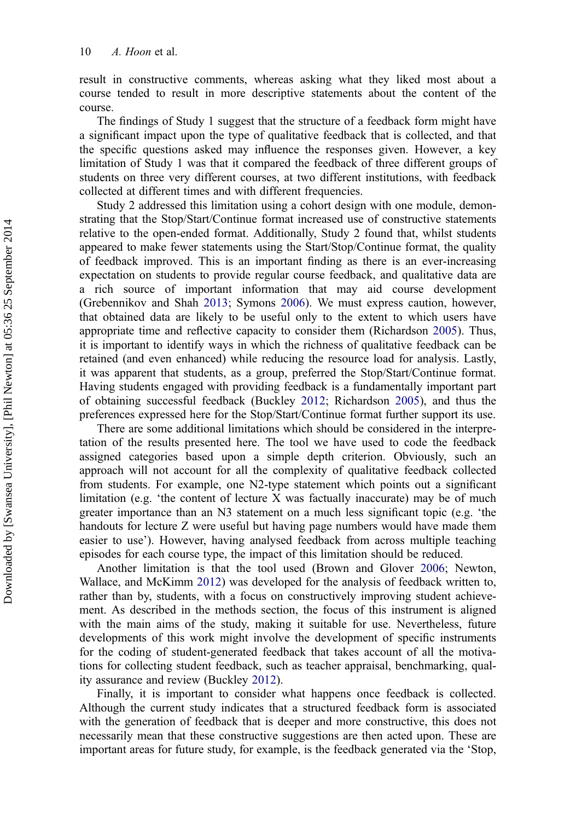result in constructive comments, whereas asking what they liked most about a course tended to result in more descriptive statements about the content of the course.

The findings of Study 1 suggest that the structure of a feedback form might have a significant impact upon the type of qualitative feedback that is collected, and that the specific questions asked may influence the responses given. However, a key limitation of Study 1 was that it compared the feedback of three different groups of students on three very different courses, at two different institutions, with feedback collected at different times and with different frequencies.

Study 2 addressed this limitation using a cohort design with one module, demonstrating that the Stop/Start/Continue format increased use of constructive statements relative to the open-ended format. Additionally, Study 2 found that, whilst students appeared to make fewer statements using the Start/Stop/Continue format, the quality of feedback improved. This is an important finding as there is an ever-increasing expectation on students to provide regular course feedback, and qualitative data are a rich source of important information that may aid course development (Grebennikov and Shah [2013](#page-13-0); Symons [2006](#page-14-0)). We must express caution, however, that obtained data are likely to be useful only to the extent to which users have appropriate time and reflective capacity to consider them (Richardson [2005\)](#page-13-0). Thus, it is important to identify ways in which the richness of qualitative feedback can be retained (and even enhanced) while reducing the resource load for analysis. Lastly, it was apparent that students, as a group, preferred the Stop/Start/Continue format. Having students engaged with providing feedback is a fundamentally important part of obtaining successful feedback (Buckley [2012;](#page-13-0) Richardson [2005\)](#page-13-0), and thus the preferences expressed here for the Stop/Start/Continue format further support its use.

There are some additional limitations which should be considered in the interpretation of the results presented here. The tool we have used to code the feedback assigned categories based upon a simple depth criterion. Obviously, such an approach will not account for all the complexity of qualitative feedback collected from students. For example, one N2-type statement which points out a significant limitation (e.g. 'the content of lecture X was factually inaccurate) may be of much greater importance than an N3 statement on a much less significant topic (e.g. 'the handouts for lecture Z were useful but having page numbers would have made them easier to use'). However, having analysed feedback from across multiple teaching episodes for each course type, the impact of this limitation should be reduced.

Another limitation is that the tool used (Brown and Glover [2006](#page-13-0); Newton, Wallace, and McKimm [2012\)](#page-13-0) was developed for the analysis of feedback written to, rather than by, students, with a focus on constructively improving student achievement. As described in the methods section, the focus of this instrument is aligned with the main aims of the study, making it suitable for use. Nevertheless, future developments of this work might involve the development of specific instruments for the coding of student-generated feedback that takes account of all the motivations for collecting student feedback, such as teacher appraisal, benchmarking, quality assurance and review (Buckley [2012\)](#page-13-0).

Finally, it is important to consider what happens once feedback is collected. Although the current study indicates that a structured feedback form is associated with the generation of feedback that is deeper and more constructive, this does not necessarily mean that these constructive suggestions are then acted upon. These are important areas for future study, for example, is the feedback generated via the 'Stop,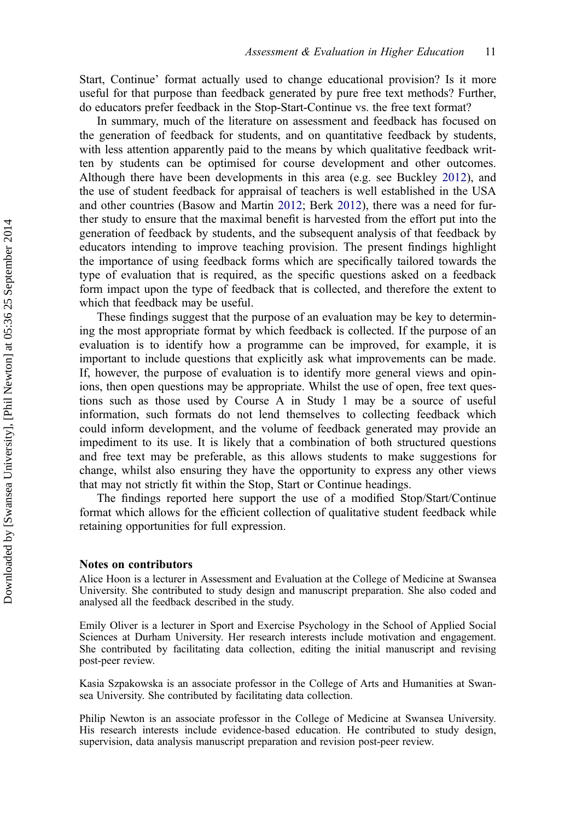Start, Continue' format actually used to change educational provision? Is it more useful for that purpose than feedback generated by pure free text methods? Further, do educators prefer feedback in the Stop-Start-Continue vs. the free text format?

In summary, much of the literature on assessment and feedback has focused on the generation of feedback for students, and on quantitative feedback by students, with less attention apparently paid to the means by which qualitative feedback written by students can be optimised for course development and other outcomes. Although there have been developments in this area (e.g. see Buckley [2012\)](#page-13-0), and the use of student feedback for appraisal of teachers is well established in the USA and other countries (Basow and Martin [2012](#page-13-0); Berk [2012\)](#page-13-0), there was a need for further study to ensure that the maximal benefit is harvested from the effort put into the generation of feedback by students, and the subsequent analysis of that feedback by educators intending to improve teaching provision. The present findings highlight the importance of using feedback forms which are specifically tailored towards the type of evaluation that is required, as the specific questions asked on a feedback form impact upon the type of feedback that is collected, and therefore the extent to which that feedback may be useful.

These findings suggest that the purpose of an evaluation may be key to determining the most appropriate format by which feedback is collected. If the purpose of an evaluation is to identify how a programme can be improved, for example, it is important to include questions that explicitly ask what improvements can be made. If, however, the purpose of evaluation is to identify more general views and opinions, then open questions may be appropriate. Whilst the use of open, free text questions such as those used by Course A in Study 1 may be a source of useful information, such formats do not lend themselves to collecting feedback which could inform development, and the volume of feedback generated may provide an impediment to its use. It is likely that a combination of both structured questions and free text may be preferable, as this allows students to make suggestions for change, whilst also ensuring they have the opportunity to express any other views that may not strictly fit within the Stop, Start or Continue headings.

The findings reported here support the use of a modified Stop/Start/Continue format which allows for the efficient collection of qualitative student feedback while retaining opportunities for full expression.

#### Notes on contributors

Alice Hoon is a lecturer in Assessment and Evaluation at the College of Medicine at Swansea University. She contributed to study design and manuscript preparation. She also coded and analysed all the feedback described in the study.

Emily Oliver is a lecturer in Sport and Exercise Psychology in the School of Applied Social Sciences at Durham University. Her research interests include motivation and engagement. She contributed by facilitating data collection, editing the initial manuscript and revising post-peer review.

Kasia Szpakowska is an associate professor in the College of Arts and Humanities at Swansea University. She contributed by facilitating data collection.

Philip Newton is an associate professor in the College of Medicine at Swansea University. His research interests include evidence-based education. He contributed to study design, supervision, data analysis manuscript preparation and revision post-peer review.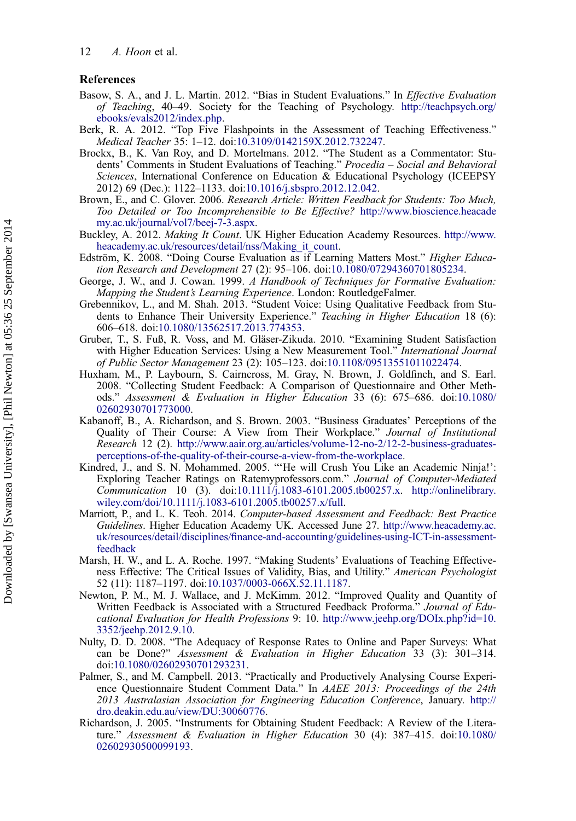#### <span id="page-13-0"></span>References

- Basow, S. A., and J. L. Martin. 2012. "Bias in Student Evaluations." In Effective Evaluation of Teaching, 40–49. Society for the Teaching of Psychology. [http://teachpsych.org/](http://teachpsych.org/ebooks/evals2012/index.php) [ebooks/evals2012/index.php](http://teachpsych.org/ebooks/evals2012/index.php).
- Berk, R. A. 2012. "Top Five Flashpoints in the Assessment of Teaching Effectiveness." Medical Teacher 35: 1–12. doi:[10.3109/0142159X.2012.732247.](http://dx.doi.org/10.3109/0142159X.2012.732247)
- Brockx, B., K. Van Roy, and D. Mortelmans. 2012. "The Student as a Commentator: Students' Comments in Student Evaluations of Teaching." Procedia – Social and Behavioral Sciences, International Conference on Education & Educational Psychology (ICEEPSY 2012) 69 (Dec.): 1122–1133. doi:[10.1016/j.sbspro.2012.12.042](http://dx.doi.org/10.1016/j.sbspro.2012.12.042).
- Brown, E., and C. Glover. 2006. Research Article: Written Feedback for Students: Too Much, Too Detailed or Too Incomprehensible to Be Effective? [http://www.bioscience.heacade](http://www.bioscience.heacademy.ac.uk/journal/vol7/beej-7-3.aspx) [my.ac.uk/journal/vol7/beej-7-3.aspx](http://www.bioscience.heacademy.ac.uk/journal/vol7/beej-7-3.aspx).
- Buckley, A. 2012. Making It Count. UK Higher Education Academy Resources. [http://www.](http://www.heacademy.ac.uk/resources/detail/nss/Making_it_count) [heacademy.ac.uk/resources/detail/nss/Making\\_it\\_count.](http://www.heacademy.ac.uk/resources/detail/nss/Making_it_count)
- Edström, K. 2008. "Doing Course Evaluation as if Learning Matters Most." Higher Education Research and Development 27 (2): 95–106. doi:[10.1080/07294360701805234](http://dx.doi.org/10.1080/07294360701805234).
- George, J. W., and J. Cowan. 1999. A Handbook of Techniques for Formative Evaluation: Mapping the Student's Learning Experience. London: RoutledgeFalmer.
- Grebennikov, L., and M. Shah. 2013. "Student Voice: Using Qualitative Feedback from Students to Enhance Their University Experience." Teaching in Higher Education 18 (6): 606–618. doi:[10.1080/13562517.2013.774353.](http://dx.doi.org/10.1080/13562517.2013.774353)
- Gruber, T., S. Fuß, R. Voss, and M. Gläser-Zikuda. 2010. "Examining Student Satisfaction with Higher Education Services: Using a New Measurement Tool." International Journal of Public Sector Management 23 (2): 105–123. doi[:10.1108/09513551011022474](http://dx.doi.org/10.1108/09513551011022474).
- Huxham, M., P. Laybourn, S. Cairncross, M. Gray, N. Brown, J. Goldfinch, and S. Earl. 2008. "Collecting Student Feedback: A Comparison of Questionnaire and Other Methods." Assessment & Evaluation in Higher Education 33 (6): 675–686. doi:[10.1080/](http://dx.doi.org/10.1080/02602930701773000) [02602930701773000](http://dx.doi.org/10.1080/02602930701773000).
- Kabanoff, B., A. Richardson, and S. Brown. 2003. "Business Graduates' Perceptions of the Quality of Their Course: A View from Their Workplace." Journal of Institutional Research 12 (2). [http://www.aair.org.au/articles/volume-12-no-2/12-2-business-graduates](http://www.aair.org.au/articles/volume-12-no-2/12-2-business-graduates-perceptions-of-the-quality-of-their-course-a-view-from-the-workplace)[perceptions-of-the-quality-of-their-course-a-view-from-the-workplace.](http://www.aair.org.au/articles/volume-12-no-2/12-2-business-graduates-perceptions-of-the-quality-of-their-course-a-view-from-the-workplace)
- Kindred, J., and S. N. Mohammed. 2005. "'He will Crush You Like an Academic Ninja!': Exploring Teacher Ratings on Ratemyprofessors.com." Journal of Computer-Mediated Communication 10 (3). doi:[10.1111/j.1083-6101.2005.tb00257.x.](http://dx.doi.org/10.1111/j.1083-6101.2005.tb00257.x) [http://onlinelibrary.](http://onlinelibrary.wiley.com/doi/10.1111/j.1083-6101.2005.tb00257.x/full) [wiley.com/doi/10.1111/j.1083-6101.2005.tb00257.x/full](http://onlinelibrary.wiley.com/doi/10.1111/j.1083-6101.2005.tb00257.x/full).
- Marriott, P., and L. K. Teoh. 2014. Computer-based Assessment and Feedback: Best Practice Guidelines. Higher Education Academy UK. Accessed June 27. [http://www.heacademy.ac.](http://www.heacademy.ac.uk/resources/detail/disciplines/finance-and-accounting/guidelines-using-ICT-in-assessment-feedback) uk/resources/detail/disciplines/fi[nance-and-accounting/guidelines-using-ICT-in-assessment](http://www.heacademy.ac.uk/resources/detail/disciplines/finance-and-accounting/guidelines-using-ICT-in-assessment-feedback)[feedback](http://www.heacademy.ac.uk/resources/detail/disciplines/finance-and-accounting/guidelines-using-ICT-in-assessment-feedback)
- Marsh, H. W., and L. A. Roche. 1997. "Making Students' Evaluations of Teaching Effectiveness Effective: The Critical Issues of Validity, Bias, and Utility." American Psychologist 52 (11): 1187–1197. doi:[10.1037/0003-066X.52.11.1187](http://dx.doi.org/10.1037/0003-066X.52.11.1187).
- Newton, P. M., M. J. Wallace, and J. McKimm. 2012. "Improved Quality and Quantity of Written Feedback is Associated with a Structured Feedback Proforma." Journal of Educational Evaluation for Health Professions 9: 10. [http://www.jeehp.org/DOIx.php?id=10.](http://www.jeehp.org/DOIx.php?id=10.3352/jeehp.2012.9.10) [3352/jeehp.2012.9.10.](http://www.jeehp.org/DOIx.php?id=10.3352/jeehp.2012.9.10)
- Nulty, D. D. 2008. "The Adequacy of Response Rates to Online and Paper Surveys: What can be Done?" Assessment & Evaluation in Higher Education 33 (3): 301–314. doi[:10.1080/02602930701293231](http://dx.doi.org/10.1080/02602930701293231).
- Palmer, S., and M. Campbell. 2013. "Practically and Productively Analysing Course Experience Questionnaire Student Comment Data." In AAEE 2013: Proceedings of the 24th 2013 Australasian Association for Engineering Education Conference, January. [http://](http://dro.deakin.edu.au/view/DU:30060776) [dro.deakin.edu.au/view/DU:30060776](http://dro.deakin.edu.au/view/DU:30060776).
- Richardson, J. 2005. "Instruments for Obtaining Student Feedback: A Review of the Literature." Assessment & Evaluation in Higher Education 30 (4): 387–415. doi:[10.1080/](http://dx.doi.org/10.1080/02602930500099193) [02602930500099193](http://dx.doi.org/10.1080/02602930500099193).